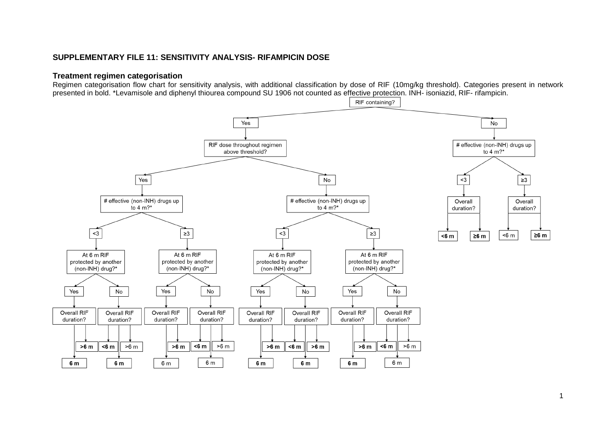### **SUPPLEMENTARY FILE 11: SENSITIVITY ANALYSIS- RIFAMPICIN DOSE**

#### **Treatment regimen categorisation**

Regimen categorisation flow chart for sensitivity analysis, with additional classification by dose of RIF (10mg/kg threshold). Categories present in network presented in bold. \*Levamisole and diphenyl thiourea compound SU 1906 not counted as effective protection. INH- isoniazid, RIF- rifampicin.

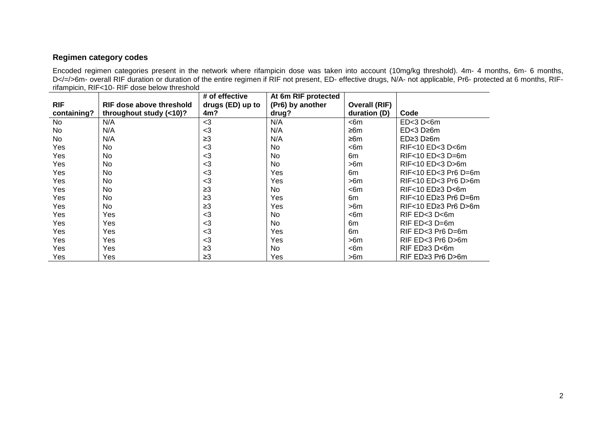# **Regimen category codes**

Encoded regimen categories present in the network where rifampicin dose was taken into account (10mg/kg threshold). 4m- 4 months, 6m- 6 months, D</=/>6m- overall RIF duration or duration of the entire regimen if RIF not present, ED- effective drugs, N/A- not applicable, Pr6- protected at 6 months, RIFrifampicin, RIF<10- RIF dose below threshold  $\overline{\phantom{a}}$ 

|             |                          | # of effective   | At 6m RIF protected |                      |                                     |
|-------------|--------------------------|------------------|---------------------|----------------------|-------------------------------------|
| <b>RIF</b>  | RIF dose above threshold | drugs (ED) up to | (Pr6) by another    | <b>Overall (RIF)</b> |                                     |
| containing? | throughout study (<10)?  | 4m?              | drug?               | duration (D)         | Code                                |
| No          | N/A                      | $3$              | N/A                 | $<$ 6m               | $ED<3$ D $<$ 6m                     |
| No.         | N/A                      | $3$              | N/A                 | ≥6m                  | $ED < 3$ D $\geq 6$ m               |
| No          | N/A                      | $\geq 3$         | N/A                 | ≥6m                  | ED≥3 D≥6m                           |
| Yes         | No.                      | $<$ 3            | No.                 | <6m                  | RIF<10 ED<3 D<6m                    |
| Yes         | No                       | $3$              | No                  | 6 <sub>m</sub>       | $RIF10$ ED $3$ D=6m                 |
| Yes         | No                       | $3$              | No                  | >6m                  | $RIF10$ ED $3$ D $>6m$              |
| Yes         | No.                      | $<$ 3            | Yes                 | 6m                   | $RIF<10$ ED $<$ 3 Pr6 D=6m          |
| Yes         | No                       | $<$ 3            | Yes                 | >6m                  | RIF<10 ED<3 Pr6 D>6m                |
| Yes         | No                       | $\geq$ 3         | No                  | $<$ 6m               | RIF<10 ED≥3 D<6m                    |
| Yes         | No.                      | $\geq 3$         | Yes                 | 6m                   | RIF<10 ED≥3 Pr6 D=6m                |
| Yes         | No                       | $\geq$ 3         | Yes                 | >6m                  | RIF<10 ED≥3 Pr6 D>6m                |
| Yes         | Yes                      | $3$              | No                  | $<$ 6m               | RIF ED<3 D<6m                       |
| Yes         | Yes                      | $<$ 3            | No.                 | 6m                   | $RIF ED < 3 D=6m$                   |
| Yes         | Yes                      | $3$              | Yes                 | 6m                   | RIF ED<3 Pr6 D=6m                   |
| Yes         | Yes                      | $<$ 3            | Yes                 | >6m                  | RIF ED<3 Pr6 D>6m                   |
| Yes         | Yes                      | $\geq$ 3         | No.                 | <6m                  | RIF ED <sub>23</sub> D <sub>5</sub> |
| Yes         | Yes                      | $\geq$ 3         | Yes                 | >6m                  | RIF ED≥3 Pr6 D>6m                   |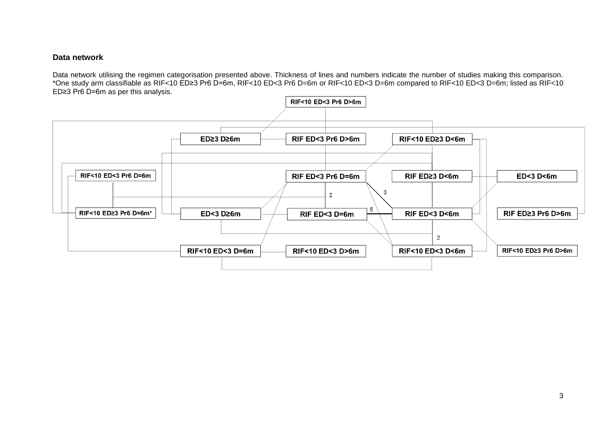#### **Data network**

Data network utilising the regimen categorisation presented above. Thickness of lines and numbers indicate the number of studies making this comparison. \*One study arm classifiable as RIF<10 ED≥3 Pr6 D=6m, RIF<10 ED<3 Pr6 D=6m or RIF<10 ED<3 D=6m compared to RIF<10 ED<3 D=6m; listed as RIF<10 ED≥3 Pr6 D=6m as per this analysis.